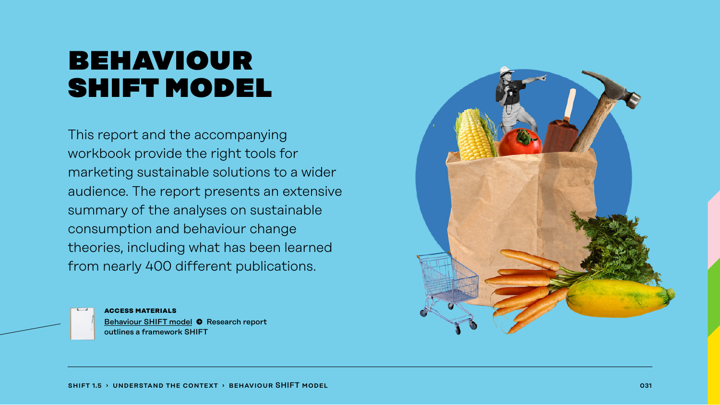## behaviour shift model

This report and the accompanying workbook provide the right tools for marketing sustainable solutions to a wider audience. The report presents an extensive summary of the analyses on sustainable consumption and behaviour change theories, including what has been learned from nearly 400 different publications.

> **access materials** [Behaviour SHIFT model](https://www.sitra.fi/en/publications/shift/) � Research report outlines a framework SHIFT

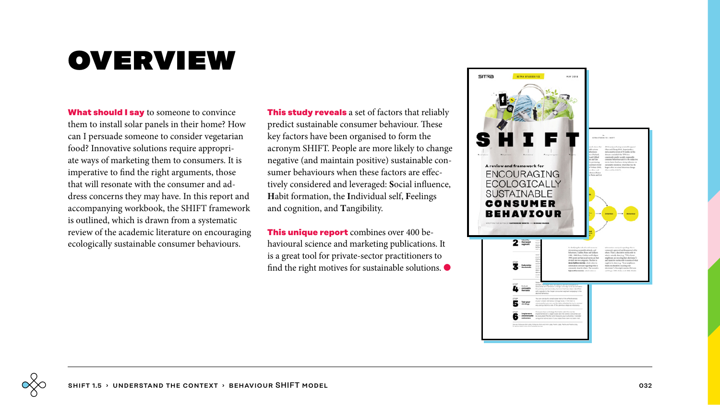# **OVERVIEW**

**What should I say** to someone to convince them to install solar panels in their home? How can I persuade someone to consider vegetarian food? Innovative solutions require appropriate ways of marketing them to consumers. It is imperative to find the right arguments, those that will resonate with the consumer and address concerns they may have. In this report and accompanying workbook, the SHIFT framework is outlined, which is drawn from a systematic review of the academic literature on encouraging ecologically sustainable consumer behaviours.

**This study reveals** a set of factors that reliably predict sustainable consumer behaviour. These key factors have been organised to form the acronym SHIFT. People are more likely to change negative (and maintain positive) sustainable consumer behaviours when these factors are effectively considered and leveraged: **S**ocial influence, **H**abit formation, the **I**ndividual self, **F**eelings and cognition, and **T**angibility.

**This unique report** combines over 400 behavioural science and marketing publications. It is a great tool for private-sector practitioners to find the right motives for sustainable solutions.  $\bullet$ 

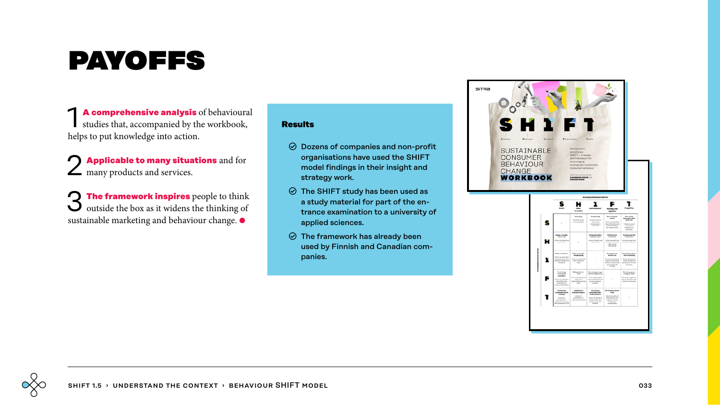# payoffs

**1 A comprehensive analysis** of behavioural studies that, accompanied by the workbook, helps to put knowledge into action.

2 **Applicable to many situations** and for  $\angle$  many products and services.

3 **The framework inspires** people to think outside the box as it widens the thinking of sustainable marketing and behaviour change. ●

### **Results**

- $\odot$  Dozens of companies and non-profit organisations have used the SHIFT model findings in their insight and strategy work.
- $\odot$  The SHIFT study has been used as a study material for part of the entrance examination to a university of applied sciences.
- $\odot$  The framework has already been used by Finnish and Canadian companies.



SITRA